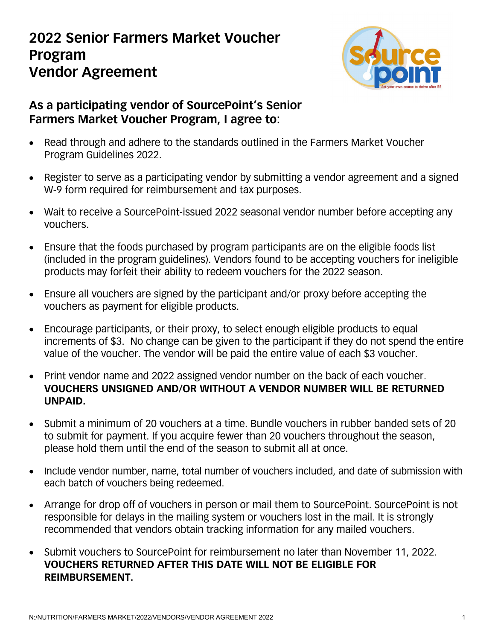## **2022 Senior Farmers Market Voucher Program Vendor Agreement**



## **As a participating vendor of SourcePoint's Senior Farmers Market Voucher Program, I agree to:**

- Read through and adhere to the standards outlined in the Farmers Market Voucher Program Guidelines 2022.
- Register to serve as a participating vendor by submitting a vendor agreement and a signed W-9 form required for reimbursement and tax purposes.
- Wait to receive a SourcePoint-issued 2022 seasonal vendor number before accepting any vouchers.
- Ensure that the foods purchased by program participants are on the eligible foods list (included in the program guidelines). Vendors found to be accepting vouchers for ineligible products may forfeit their ability to redeem vouchers for the 2022 season.
- Ensure all vouchers are signed by the participant and/or proxy before accepting the vouchers as payment for eligible products.
- Encourage participants, or their proxy, to select enough eligible products to equal increments of \$3. No change can be given to the participant if they do not spend the entire value of the voucher. The vendor will be paid the entire value of each \$3 voucher.
- Print vendor name and 2022 assigned vendor number on the back of each voucher. **VOUCHERS UNSIGNED AND/OR WITHOUT A VENDOR NUMBER WILL BE RETURNED UNPAID.**
- Submit a minimum of 20 vouchers at a time. Bundle vouchers in rubber banded sets of 20 to submit for payment. If you acquire fewer than 20 vouchers throughout the season, please hold them until the end of the season to submit all at once.
- Include vendor number, name, total number of vouchers included, and date of submission with each batch of vouchers being redeemed.
- Arrange for drop off of vouchers in person or mail them to SourcePoint. SourcePoint is not responsible for delays in the mailing system or vouchers lost in the mail. It is strongly recommended that vendors obtain tracking information for any mailed vouchers.
- Submit vouchers to SourcePoint for reimbursement no later than November 11, 2022. **VOUCHERS RETURNED AFTER THIS DATE WILL NOT BE ELIGIBLE FOR REIMBURSEMENT.**